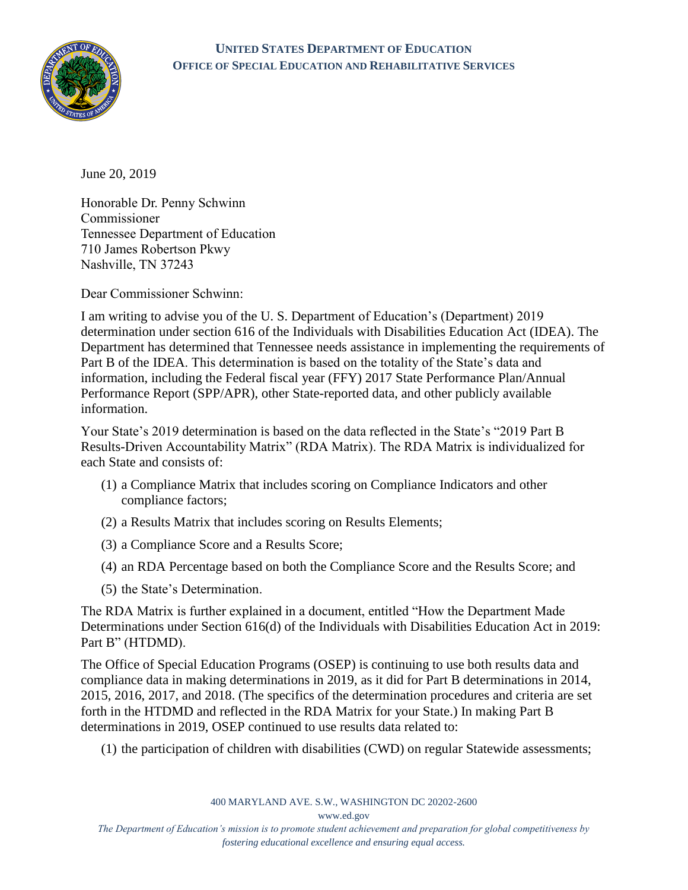

## **UNITED STATES DEPARTMENT OF EDUCATION OFFICE OF SPECIAL EDUCATION AND REHABILITATIVE SERVICES**

June 20, 2019

Honorable Dr. Penny Schwinn Commissioner Tennessee Department of Education 710 James Robertson Pkwy Nashville, TN 37243

Dear Commissioner Schwinn:

I am writing to advise you of the U. S. Department of Education's (Department) 2019 determination under section 616 of the Individuals with Disabilities Education Act (IDEA). The Department has determined that Tennessee needs assistance in implementing the requirements of Part B of the IDEA. This determination is based on the totality of the State's data and information, including the Federal fiscal year (FFY) 2017 State Performance Plan/Annual Performance Report (SPP/APR), other State-reported data, and other publicly available information.

Your State's 2019 determination is based on the data reflected in the State's "2019 Part B Results-Driven Accountability Matrix" (RDA Matrix). The RDA Matrix is individualized for each State and consists of:

- (1) a Compliance Matrix that includes scoring on Compliance Indicators and other compliance factors;
- (2) a Results Matrix that includes scoring on Results Elements;
- (3) a Compliance Score and a Results Score;
- (4) an RDA Percentage based on both the Compliance Score and the Results Score; and
- (5) the State's Determination.

The RDA Matrix is further explained in a document, entitled "How the Department Made Determinations under Section 616(d) of the Individuals with Disabilities Education Act in 2019: Part B" (HTDMD).

The Office of Special Education Programs (OSEP) is continuing to use both results data and compliance data in making determinations in 2019, as it did for Part B determinations in 2014, 2015, 2016, 2017, and 2018. (The specifics of the determination procedures and criteria are set forth in the HTDMD and reflected in the RDA Matrix for your State.) In making Part B determinations in 2019, OSEP continued to use results data related to:

(1) the participation of children with disabilities (CWD) on regular Statewide assessments;

400 MARYLAND AVE. S.W., WASHINGTON DC 20202-2600

[www.ed.gov](http://www.ed.gov/)

*The Department of Education's mission is to promote student achievement and preparation for global competitiveness by fostering educational excellence and ensuring equal access.*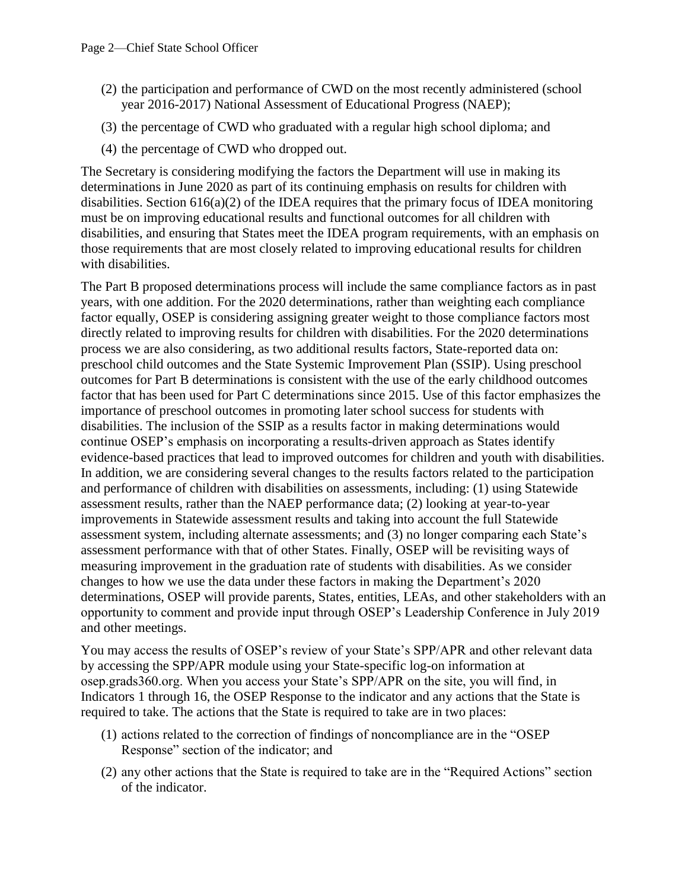- (2) the participation and performance of CWD on the most recently administered (school year 2016-2017) National Assessment of Educational Progress (NAEP);
- (3) the percentage of CWD who graduated with a regular high school diploma; and
- (4) the percentage of CWD who dropped out.

The Secretary is considering modifying the factors the Department will use in making its determinations in June 2020 as part of its continuing emphasis on results for children with disabilities. Section 616(a)(2) of the IDEA requires that the primary focus of IDEA monitoring must be on improving educational results and functional outcomes for all children with disabilities, and ensuring that States meet the IDEA program requirements, with an emphasis on those requirements that are most closely related to improving educational results for children with disabilities.

The Part B proposed determinations process will include the same compliance factors as in past years, with one addition. For the 2020 determinations, rather than weighting each compliance factor equally, OSEP is considering assigning greater weight to those compliance factors most directly related to improving results for children with disabilities. For the 2020 determinations process we are also considering, as two additional results factors, State-reported data on: preschool child outcomes and the State Systemic Improvement Plan (SSIP). Using preschool outcomes for Part B determinations is consistent with the use of the early childhood outcomes factor that has been used for Part C determinations since 2015. Use of this factor emphasizes the importance of preschool outcomes in promoting later school success for students with disabilities. The inclusion of the SSIP as a results factor in making determinations would continue OSEP's emphasis on incorporating a results-driven approach as States identify evidence-based practices that lead to improved outcomes for children and youth with disabilities. In addition, we are considering several changes to the results factors related to the participation and performance of children with disabilities on assessments, including: (1) using Statewide assessment results, rather than the NAEP performance data; (2) looking at year-to-year improvements in Statewide assessment results and taking into account the full Statewide assessment system, including alternate assessments; and (3) no longer comparing each State's assessment performance with that of other States. Finally, OSEP will be revisiting ways of measuring improvement in the graduation rate of students with disabilities. As we consider changes to how we use the data under these factors in making the Department's 2020 determinations, OSEP will provide parents, States, entities, LEAs, and other stakeholders with an opportunity to comment and provide input through OSEP's Leadership Conference in July 2019 and other meetings.

You may access the results of OSEP's review of your State's SPP/APR and other relevant data by accessing the SPP/APR module using your State-specific log-on information at osep.grads360.org. When you access your State's SPP/APR on the site, you will find, in Indicators 1 through 16, the OSEP Response to the indicator and any actions that the State is required to take. The actions that the State is required to take are in two places:

- (1) actions related to the correction of findings of noncompliance are in the "OSEP Response" section of the indicator; and
- (2) any other actions that the State is required to take are in the "Required Actions" section of the indicator.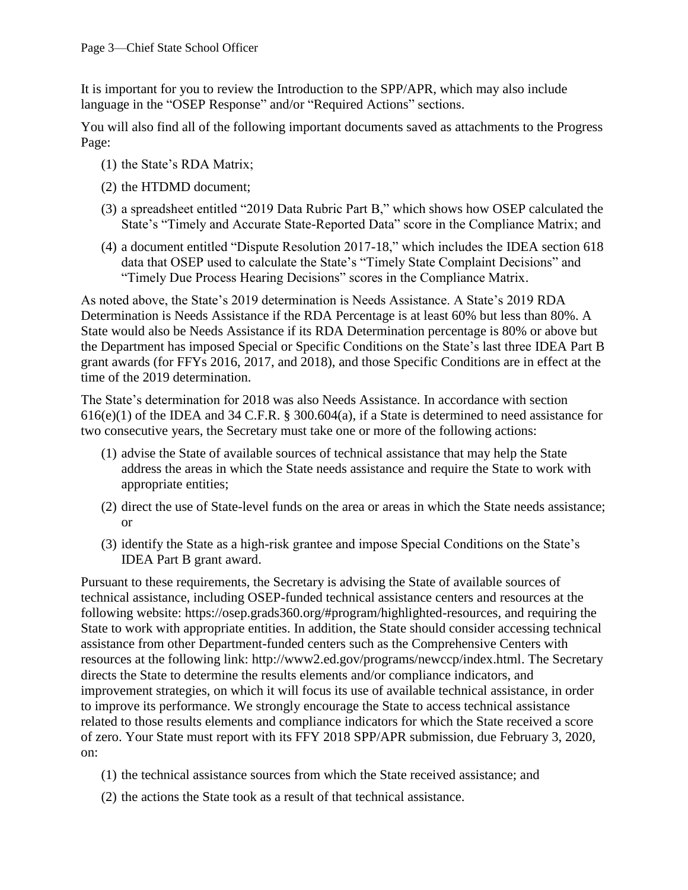It is important for you to review the Introduction to the SPP/APR, which may also include language in the "OSEP Response" and/or "Required Actions" sections.

You will also find all of the following important documents saved as attachments to the Progress Page:

- (1) the State's RDA Matrix;
- (2) the HTDMD document;
- (3) a spreadsheet entitled "2019 Data Rubric Part B," which shows how OSEP calculated the State's "Timely and Accurate State-Reported Data" score in the Compliance Matrix; and
- (4) a document entitled "Dispute Resolution 2017-18," which includes the IDEA section 618 data that OSEP used to calculate the State's "Timely State Complaint Decisions" and "Timely Due Process Hearing Decisions" scores in the Compliance Matrix.

As noted above, the State's 2019 determination is Needs Assistance. A State's 2019 RDA Determination is Needs Assistance if the RDA Percentage is at least 60% but less than 80%. A State would also be Needs Assistance if its RDA Determination percentage is 80% or above but the Department has imposed Special or Specific Conditions on the State's last three IDEA Part B grant awards (for FFYs 2016, 2017, and 2018), and those Specific Conditions are in effect at the time of the 2019 determination.

The State's determination for 2018 was also Needs Assistance. In accordance with section 616(e)(1) of the IDEA and 34 C.F.R. § 300.604(a), if a State is determined to need assistance for two consecutive years, the Secretary must take one or more of the following actions:

- (1) advise the State of available sources of technical assistance that may help the State address the areas in which the State needs assistance and require the State to work with appropriate entities;
- (2) direct the use of State-level funds on the area or areas in which the State needs assistance; or
- (3) identify the State as a high-risk grantee and impose Special Conditions on the State's IDEA Part B grant award.

Pursuant to these requirements, the Secretary is advising the State of available sources of technical assistance, including OSEP-funded technical assistance centers and resources at the following website: [https://osep.grads360.org/#program/highlighted-resources,](https://osep.grads360.org/#program/highlighted-resources) and requiring the State to work with appropriate entities. In addition, the State should consider accessing technical assistance from other Department-funded centers such as the Comprehensive Centers with resources at the following link: [http://www2.ed.gov/programs/newccp/index.html.](http://www2.ed.gov/programs/newccp/index.html) The Secretary directs the State to determine the results elements and/or compliance indicators, and improvement strategies, on which it will focus its use of available technical assistance, in order to improve its performance. We strongly encourage the State to access technical assistance related to those results elements and compliance indicators for which the State received a score of zero. Your State must report with its FFY 2018 SPP/APR submission, due February 3, 2020, on:

- (1) the technical assistance sources from which the State received assistance; and
- (2) the actions the State took as a result of that technical assistance.